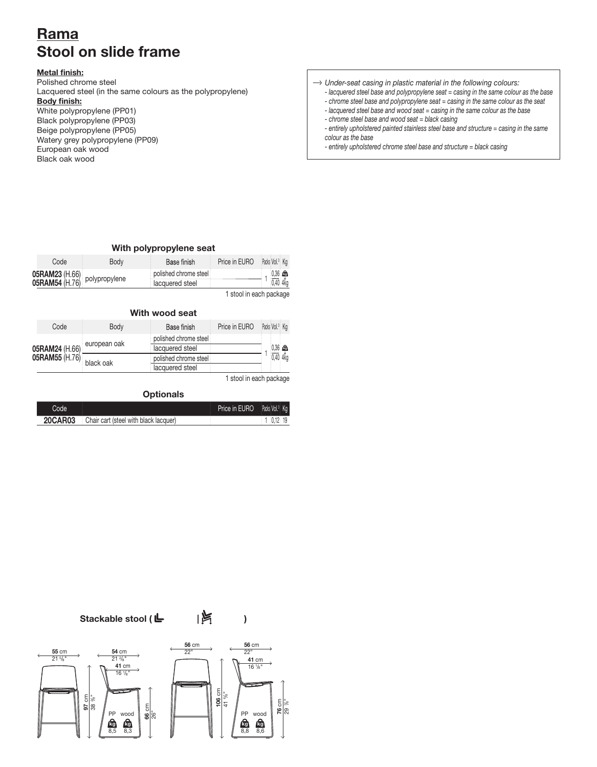# Rama Rama Stool on slide frame Stool on slide frame

## Metal finish: Metal finish:

Polished chrome steel Polished chrome steel Lacquered steel (in the same colours as the polypropylene) Lacquered steel (in the same colours as the polypropylene) Body finish: Body finish: White polypropylene (PP01) White polypropylene (PP01) Black polypropylene (PP03) Black polypropylene (PP03) Beige polypropylene (PP05) Beige polypropylene (PP05) Watery grey polypropylene (PP09) Watery grey polypropylene (PP09) European oak wood European oak wood Black oak wood Black oak wood

*Under-seat casing in plastic material in the following colours: Under-seat casing in plastic material in the following colours:*

- *lacquered steel base and polypropylene seat = casing in the same colour as the base lacquered steel base and polypropylene seat = casing in the same colour as the base*
- *chrome steel base and polypropylene seat = casing in the same colour as the seat chrome steel base and polypropylene seat = casing in the same colour as the seat*
- *lacquered steel base and wood seat = casing in the same colour as the base lacquered steel base and wood seat = casing in the same colour as the base*
- *chrome steel base and wood seat = black casing chrome steel base and wood seat = black casing*

*- entirely upholstered painted stainless steel base and structure = casing in the same - entirely upholstered painted stainless steel base and structure = casing in the same colour as the base colour as the base*

*- entirely upholstered chrome steel base and structure = black casing - entirely upholstered chrome steel base and structure = black casing*

# With polypropylene seat With polypropylene seat

| Code<br>Body                     | Base finish           | Price in EURO | Packs: Vol. <sup>3</sup> : Kg |
|----------------------------------|-----------------------|---------------|-------------------------------|
| 05RAM23 (H.66)<br>05RAM54 (H.76) | polished chrome steel |               | $0,36$ $\bigcirc$             |
|                                  | lacquered steel       |               | 0.404                         |

1 stool in each package 1 stool in each package

|                                                 |              |                                          | With wood seat |                       |                            |  |
|-------------------------------------------------|--------------|------------------------------------------|----------------|-----------------------|----------------------------|--|
|                                                 | Code         | Body                                     | Base finish    | Price in EURO         | Packs Vol. <sup>3</sup> Kg |  |
| 05RAM24 (H.66)<br>$05$ RAM55 $(H.76)$ black oak | european oak | polished chrome steel<br>lacquered steel |                | $0.36$ $\blacksquare$ |                            |  |
|                                                 |              | polished chrome steel<br>lacquered steel |                | 0.40 4kg              |                            |  |

1 stool in each package 1 stool in each package

## Optionals Optionals

| Code           |                                       | <b>Price in EURO</b> Packs Vol. <sup>3</sup> Ka |  |
|----------------|---------------------------------------|-------------------------------------------------|--|
| <b>20CAR03</b> | Chair cart (steel with black lacquer) |                                                 |  |